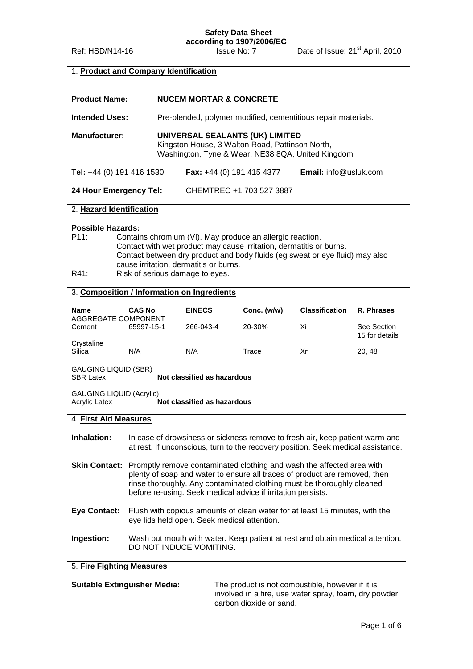# **Safety Data Sheet according to 1907/2006/EC**

Ref: HSD/N14-16 **Issue No: 7** Date of Issue: 21<sup>st</sup> April, 2010

## 1. **Product and Company Identification**

| <b>Product Name:</b>      | <b>NUCEM MORTAR &amp; CONCRETE</b>                                                                                                      |                                  |                              |
|---------------------------|-----------------------------------------------------------------------------------------------------------------------------------------|----------------------------------|------------------------------|
| <b>Intended Uses:</b>     | Pre-blended, polymer modified, cementitious repair materials.                                                                           |                                  |                              |
| <b>Manufacturer:</b>      | UNIVERSAL SEALANTS (UK) LIMITED<br>Kingston House, 3 Walton Road, Pattinson North,<br>Washington, Tyne & Wear. NE38 8QA, United Kingdom |                                  |                              |
| Tel: +44 (0) 191 416 1530 |                                                                                                                                         | <b>Fax:</b> +44 (0) 191 415 4377 | <b>Email:</b> info@usluk.com |
| 24 Hour Emergency Tel:    |                                                                                                                                         | CHEMTREC +1 703 527 3887         |                              |
| 2. Hazard Identification  |                                                                                                                                         |                                  |                              |

#### **Possible Hazards:**

- P11: Contains chromium (VI). May produce an allergic reaction. Contact with wet product may cause irritation, dermatitis or burns. Contact between dry product and body fluids (eg sweat or eye fluid) may also cause irritation, dermatitis or burns.
- R41: Risk of serious damage to eyes.

## 3. **Composition / Information on Ingredients**

| <b>Name</b><br>AGGREGATE COMPONENT | <b>CAS No</b> | <b>EINECS</b> | Conc. (w/w) | <b>Classification</b> | R. Phrases                    |
|------------------------------------|---------------|---------------|-------------|-----------------------|-------------------------------|
| Cement                             | 65997-15-1    | 266-043-4     | 20-30%      | Xi                    | See Section<br>15 for details |
| Crystaline<br>Silica               | N/A           | N/A           | Trace       | Xn                    | 20, 48                        |

GAUGING LIQUID (SBR) **Not classified as hazardous** 

GAUGING LIQUID (Acrylic)<br>Acrylic Latex **Not classified as hazardous** 

#### 4. **First Aid Measures**

 $\overline{\phantom{a}}$ 

| Inhalation:                                                                             | In case of drowsiness or sickness remove to fresh air, keep patient warm and<br>at rest. If unconscious, turn to the recovery position. Seek medical assistance.                                                                                                                              |  |
|-----------------------------------------------------------------------------------------|-----------------------------------------------------------------------------------------------------------------------------------------------------------------------------------------------------------------------------------------------------------------------------------------------|--|
| <b>Skin Contact:</b>                                                                    | Promptly remove contaminated clothing and wash the affected area with<br>plenty of soap and water to ensure all traces of product are removed, then<br>rinse thoroughly. Any contaminated clothing must be thoroughly cleaned<br>before re-using. Seek medical advice if irritation persists. |  |
| Eye Contact:                                                                            | Flush with copious amounts of clean water for at least 15 minutes, with the<br>eye lids held open. Seek medical attention.                                                                                                                                                                    |  |
| Ingestion:                                                                              | Wash out mouth with water. Keep patient at rest and obtain medical attention.<br>DO NOT INDUCE VOMITING.                                                                                                                                                                                      |  |
| 5. Fire Fighting Measures                                                               |                                                                                                                                                                                                                                                                                               |  |
| <b>Suitable Extinguisher Media:</b><br>The product is not combustible, however if it is |                                                                                                                                                                                                                                                                                               |  |

involved in a fire, use water spray, foam, dry powder, carbon dioxide or sand.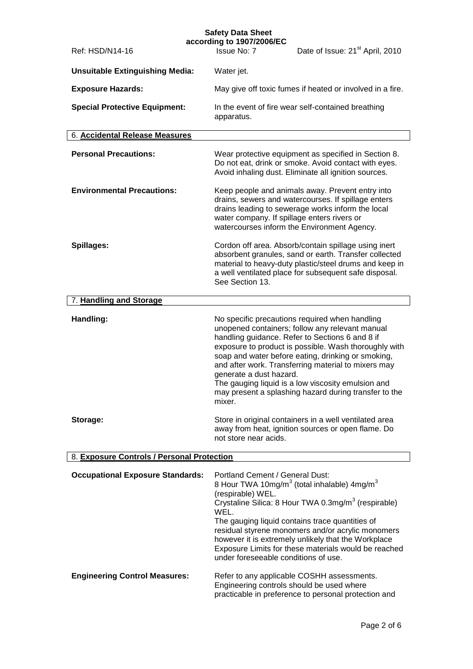| <b>Safety Data Sheet</b>                   |                                                                                                      |                                                                                                                                                                                                                                                                                                                                                                                                                                           |
|--------------------------------------------|------------------------------------------------------------------------------------------------------|-------------------------------------------------------------------------------------------------------------------------------------------------------------------------------------------------------------------------------------------------------------------------------------------------------------------------------------------------------------------------------------------------------------------------------------------|
| Ref: HSD/N14-16                            | according to 1907/2006/EC<br>Issue No: 7                                                             | Date of Issue: 21 <sup>st</sup> April, 2010                                                                                                                                                                                                                                                                                                                                                                                               |
| <b>Unsuitable Extinguishing Media:</b>     | Water jet.                                                                                           |                                                                                                                                                                                                                                                                                                                                                                                                                                           |
| <b>Exposure Hazards:</b>                   |                                                                                                      | May give off toxic fumes if heated or involved in a fire.                                                                                                                                                                                                                                                                                                                                                                                 |
| <b>Special Protective Equipment:</b>       | apparatus.                                                                                           | In the event of fire wear self-contained breathing                                                                                                                                                                                                                                                                                                                                                                                        |
| 6. Accidental Release Measures             |                                                                                                      |                                                                                                                                                                                                                                                                                                                                                                                                                                           |
| <b>Personal Precautions:</b>               |                                                                                                      | Wear protective equipment as specified in Section 8.<br>Do not eat, drink or smoke. Avoid contact with eyes.<br>Avoid inhaling dust. Eliminate all ignition sources.                                                                                                                                                                                                                                                                      |
| <b>Environmental Precautions:</b>          | water company. If spillage enters rivers or                                                          | Keep people and animals away. Prevent entry into<br>drains, sewers and watercourses. If spillage enters<br>drains leading to sewerage works inform the local<br>watercourses inform the Environment Agency.                                                                                                                                                                                                                               |
| Spillages:                                 | See Section 13.                                                                                      | Cordon off area. Absorb/contain spillage using inert<br>absorbent granules, sand or earth. Transfer collected<br>material to heavy-duty plastic/steel drums and keep in<br>a well ventilated place for subsequent safe disposal.                                                                                                                                                                                                          |
| 7. Handling and Storage                    |                                                                                                      |                                                                                                                                                                                                                                                                                                                                                                                                                                           |
| Handling:                                  | generate a dust hazard.<br>mixer.                                                                    | No specific precautions required when handling<br>unopened containers; follow any relevant manual<br>handling guidance. Refer to Sections 6 and 8 if<br>exposure to product is possible. Wash thoroughly with<br>soap and water before eating, drinking or smoking,<br>and after work. Transferring material to mixers may<br>The gauging liquid is a low viscosity emulsion and<br>may present a splashing hazard during transfer to the |
| Storage:                                   | not store near acids.                                                                                | Store in original containers in a well ventilated area<br>away from heat, ignition sources or open flame. Do                                                                                                                                                                                                                                                                                                                              |
| 8. Exposure Controls / Personal Protection |                                                                                                      |                                                                                                                                                                                                                                                                                                                                                                                                                                           |
| <b>Occupational Exposure Standards:</b>    | Portland Cement / General Dust:<br>(respirable) WEL.<br>WEL.<br>under foreseeable conditions of use. | 8 Hour TWA 10mg/m <sup>3</sup> (total inhalable) 4mg/m <sup>3</sup><br>Crystaline Silica: 8 Hour TWA 0.3mg/m <sup>3</sup> (respirable)<br>The gauging liquid contains trace quantities of<br>residual styrene monomers and/or acrylic monomers<br>however it is extremely unlikely that the Workplace<br>Exposure Limits for these materials would be reached                                                                             |
| <b>Engineering Control Measures:</b>       | Engineering controls should be used where                                                            | Refer to any applicable COSHH assessments.<br>practicable in preference to personal protection and                                                                                                                                                                                                                                                                                                                                        |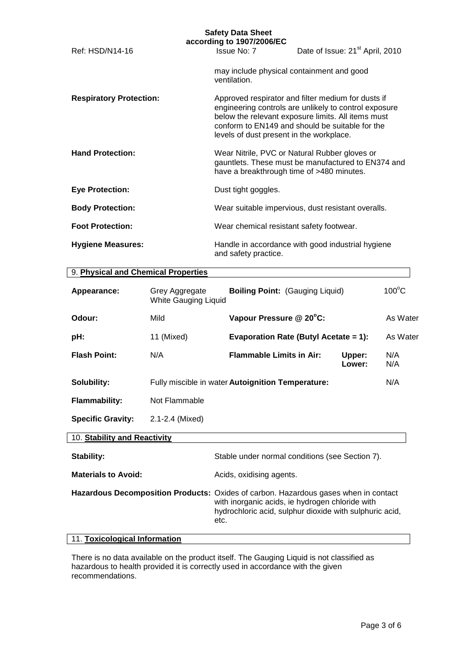|                                | <b>Safety Data Sheet</b><br>according to 1907/2006/EC |                                                                                                                                                                                                                      |
|--------------------------------|-------------------------------------------------------|----------------------------------------------------------------------------------------------------------------------------------------------------------------------------------------------------------------------|
| Ref: HSD/N14-16                | Issue No: 7                                           | Date of Issue: 21 <sup>st</sup> April, 2010                                                                                                                                                                          |
|                                | ventilation.                                          | may include physical containment and good                                                                                                                                                                            |
| <b>Respiratory Protection:</b> | levels of dust present in the workplace.              | Approved respirator and filter medium for dusts if<br>engineering controls are unlikely to control exposure<br>below the relevant exposure limits. All items must<br>conform to EN149 and should be suitable for the |
| <b>Hand Protection:</b>        |                                                       | Wear Nitrile, PVC or Natural Rubber gloves or<br>gauntlets. These must be manufactured to EN374 and<br>have a breakthrough time of >480 minutes.                                                                     |
| <b>Eye Protection:</b>         | Dust tight goggles.                                   |                                                                                                                                                                                                                      |
| <b>Body Protection:</b>        |                                                       | Wear suitable impervious, dust resistant overalls.                                                                                                                                                                   |
| <b>Foot Protection:</b>        | Wear chemical resistant safety footwear.              |                                                                                                                                                                                                                      |
| <b>Hygiene Measures:</b>       | and safety practice.                                  | Handle in accordance with good industrial hygiene                                                                                                                                                                    |

## 9. **Physical and Chemical Properties**

| Appearance:                  | Grey Aggregate<br>White Gauging Liquid | <b>Boiling Point: (Gauging Liquid)</b>            |                  | $100^{\circ}$ C |
|------------------------------|----------------------------------------|---------------------------------------------------|------------------|-----------------|
| Odour:                       | Mild                                   | Vapour Pressure @ 20°C:                           |                  | As Water        |
| pH:                          | 11 (Mixed)                             | Evaporation Rate (Butyl Acetate = 1):             |                  | As Water        |
| <b>Flash Point:</b>          | N/A                                    | <b>Flammable Limits in Air:</b>                   | Upper:<br>Lower: | N/A<br>N/A      |
| Solubility:                  |                                        | Fully miscible in water Autoignition Temperature: |                  | N/A             |
| <b>Flammability:</b>         | Not Flammable                          |                                                   |                  |                 |
| <b>Specific Gravity:</b>     | 2.1-2.4 (Mixed)                        |                                                   |                  |                 |
| 10. Stability and Reactivity |                                        |                                                   |                  |                 |
| Stability:                   |                                        | Stable under normal conditions (see Section 7).   |                  |                 |
| <b>Materials to Avoid:</b>   |                                        | Acids, oxidising agents.                          |                  |                 |

**Hazardous Decomposition Products:** Oxides of carbon. Hazardous gases when in contact with inorganic acids, ie hydrogen chloride with hydrochloric acid, sulphur dioxide with sulphuric acid, etc.

#### 11. **Toxicological Information**

There is no data available on the product itself. The Gauging Liquid is not classified as hazardous to health provided it is correctly used in accordance with the given recommendations.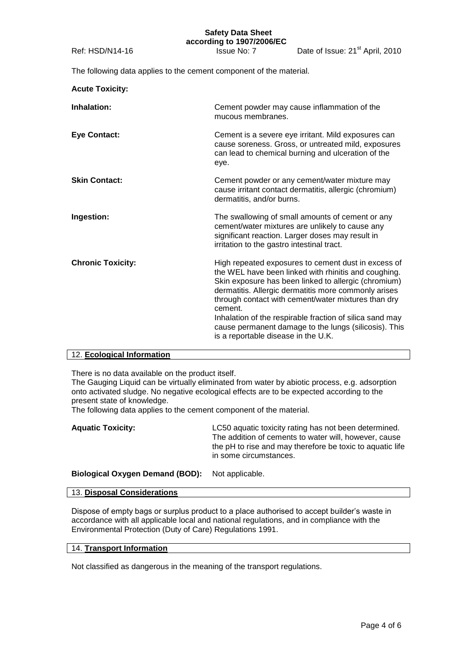The following data applies to the cement component of the material.

| <b>Acute Toxicity:</b>   |                                                                                                                                                                                                                                                                                                                                                                                                                                                           |
|--------------------------|-----------------------------------------------------------------------------------------------------------------------------------------------------------------------------------------------------------------------------------------------------------------------------------------------------------------------------------------------------------------------------------------------------------------------------------------------------------|
| Inhalation:              | Cement powder may cause inflammation of the<br>mucous membranes.                                                                                                                                                                                                                                                                                                                                                                                          |
| <b>Eye Contact:</b>      | Cement is a severe eye irritant. Mild exposures can<br>cause soreness. Gross, or untreated mild, exposures<br>can lead to chemical burning and ulceration of the<br>eye.                                                                                                                                                                                                                                                                                  |
| <b>Skin Contact:</b>     | Cement powder or any cement/water mixture may<br>cause irritant contact dermatitis, allergic (chromium)<br>dermatitis, and/or burns.                                                                                                                                                                                                                                                                                                                      |
| Ingestion:               | The swallowing of small amounts of cement or any<br>cement/water mixtures are unlikely to cause any<br>significant reaction. Larger doses may result in<br>irritation to the gastro intestinal tract.                                                                                                                                                                                                                                                     |
| <b>Chronic Toxicity:</b> | High repeated exposures to cement dust in excess of<br>the WEL have been linked with rhinitis and coughing.<br>Skin exposure has been linked to allergic (chromium)<br>dermatitis. Allergic dermatitis more commonly arises<br>through contact with cement/water mixtures than dry<br>cement.<br>Inhalation of the respirable fraction of silica sand may<br>cause permanent damage to the lungs (silicosis). This<br>is a reportable disease in the U.K. |

## 12. **Ecological Information**

There is no data available on the product itself.

The Gauging Liquid can be virtually eliminated from water by abiotic process, e.g. adsorption onto activated sludge. No negative ecological effects are to be expected according to the present state of knowledge.

The following data applies to the cement component of the material.

| <b>Aquatic Toxicity:</b> | LC50 aquatic toxicity rating has not been determined.     |
|--------------------------|-----------------------------------------------------------|
|                          | The addition of cements to water will, however, cause     |
|                          | the pH to rise and may therefore be toxic to aquatic life |
|                          | in some circumstances.                                    |

**Biological Oxygen Demand (BOD):** Not applicable.

## 13. **Disposal Considerations**

Dispose of empty bags or surplus product to a place authorised to accept builder's waste in accordance with all applicable local and national regulations, and in compliance with the Environmental Protection (Duty of Care) Regulations 1991.

### 14. **Transport Information**

Not classified as dangerous in the meaning of the transport regulations.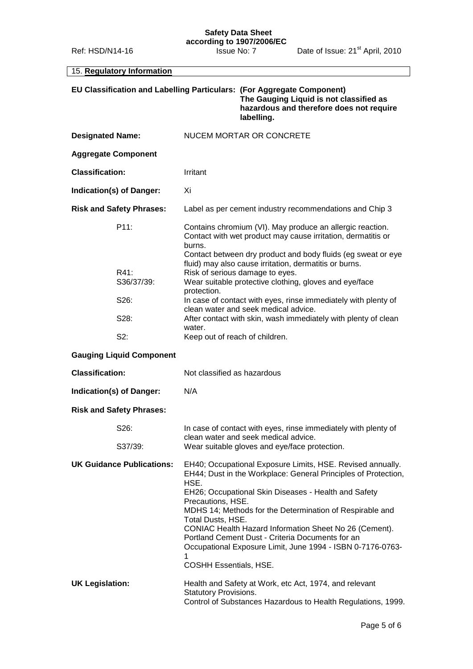#### **Safety Data Sheet according to 1907/2006/EC**

15. **Regulatory Information**

|                                  | EU Classification and Labelling Particulars: (For Aggregate Component)<br>The Gauging Liquid is not classified as<br>hazardous and therefore does not require<br>labelling.                                                                                                                                                                                                                                                                                                                                          |
|----------------------------------|----------------------------------------------------------------------------------------------------------------------------------------------------------------------------------------------------------------------------------------------------------------------------------------------------------------------------------------------------------------------------------------------------------------------------------------------------------------------------------------------------------------------|
| <b>Designated Name:</b>          | NUCEM MORTAR OR CONCRETE                                                                                                                                                                                                                                                                                                                                                                                                                                                                                             |
| <b>Aggregate Component</b>       |                                                                                                                                                                                                                                                                                                                                                                                                                                                                                                                      |
| <b>Classification:</b>           | Irritant                                                                                                                                                                                                                                                                                                                                                                                                                                                                                                             |
| Indication(s) of Danger:         | Xi                                                                                                                                                                                                                                                                                                                                                                                                                                                                                                                   |
| <b>Risk and Safety Phrases:</b>  | Label as per cement industry recommendations and Chip 3                                                                                                                                                                                                                                                                                                                                                                                                                                                              |
| P11:<br>R41:                     | Contains chromium (VI). May produce an allergic reaction.<br>Contact with wet product may cause irritation, dermatitis or<br>burns.<br>Contact between dry product and body fluids (eg sweat or eye<br>fluid) may also cause irritation, dermatitis or burns.<br>Risk of serious damage to eyes.                                                                                                                                                                                                                     |
| S36/37/39:                       | Wear suitable protective clothing, gloves and eye/face                                                                                                                                                                                                                                                                                                                                                                                                                                                               |
| S26:                             | protection.<br>In case of contact with eyes, rinse immediately with plenty of                                                                                                                                                                                                                                                                                                                                                                                                                                        |
| S28:                             | clean water and seek medical advice.<br>After contact with skin, wash immediately with plenty of clean<br>water.                                                                                                                                                                                                                                                                                                                                                                                                     |
| S2:                              | Keep out of reach of children.                                                                                                                                                                                                                                                                                                                                                                                                                                                                                       |
| <b>Gauging Liquid Component</b>  |                                                                                                                                                                                                                                                                                                                                                                                                                                                                                                                      |
| <b>Classification:</b>           | Not classified as hazardous                                                                                                                                                                                                                                                                                                                                                                                                                                                                                          |
| Indication(s) of Danger:         | N/A                                                                                                                                                                                                                                                                                                                                                                                                                                                                                                                  |
| <b>Risk and Safety Phrases:</b>  |                                                                                                                                                                                                                                                                                                                                                                                                                                                                                                                      |
| S26:                             | In case of contact with eyes, rinse immediately with plenty of<br>clean water and seek medical advice.                                                                                                                                                                                                                                                                                                                                                                                                               |
| S37/39:                          | Wear suitable gloves and eye/face protection.                                                                                                                                                                                                                                                                                                                                                                                                                                                                        |
| <b>UK Guidance Publications:</b> | EH40; Occupational Exposure Limits, HSE. Revised annually.<br>EH44; Dust in the Workplace: General Principles of Protection,<br>HSE.<br>EH26; Occupational Skin Diseases - Health and Safety<br>Precautions, HSE.<br>MDHS 14; Methods for the Determination of Respirable and<br>Total Dusts, HSE.<br>CONIAC Health Hazard Information Sheet No 26 (Cement).<br>Portland Cement Dust - Criteria Documents for an<br>Occupational Exposure Limit, June 1994 - ISBN 0-7176-0763-<br>1<br><b>COSHH Essentials, HSE.</b> |
| <b>UK Legislation:</b>           | Health and Safety at Work, etc Act, 1974, and relevant<br>Statutory Provisions.<br>Control of Substances Hazardous to Health Regulations, 1999.                                                                                                                                                                                                                                                                                                                                                                      |